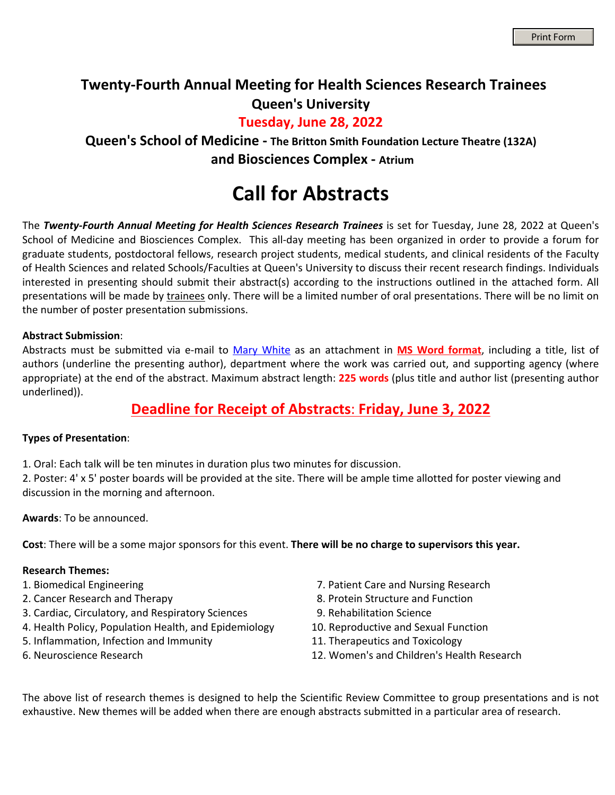### **Twenty-Fourth Annual Meeting for Health Sciences Research Trainees Queen's University**

#### **Tuesday, June 28, 2022**

**Queen's School of Medicine - The Britton Smith Foundation Lecture Theatre (132A) and Biosciences Complex - Atrium**

# **Call for Abstracts**

The Twenty-Fourth Annual Meeting for Health Sciences Research Trainees is set for Tuesday, June 28, 2022 at Queen's School of Medicine and Biosciences Complex. This all-day meeting has been organized in order to provide a forum for graduate students, postdoctoral fellows, research project students, medical students, and clinical residents of the Faculty of Health Sciences and related Schools/Faculties at Queen's University to discuss their recent research findings. Individuals interested in presenting should submit their abstract(s) according to the instructions outlined in the attached form. All presentations will be made by trainees only. There will be a limited number of oral presentations. There will be no limit on the number of poster presentation submissions.

#### **Abstract Submission**:

Abstracts must be submitted via e-mail to [Mary White](mailto:mary.white@queensu.ca) as an attachment in **MS Word format**, including a title, list of authors (underline the presenting author), department where the work was carried out, and supporting agency (where appropriate) at the end of the abstract. Maximum abstract length: **225 words** (plus title and author list (presenting author underlined)).

#### **Deadline for Receipt of Abstracts**: **Friday, June 3, 2022**

#### **Types of Presentation**:

1. Oral: Each talk will be ten minutes in duration plus two minutes for discussion.

2. Poster: 4' x 5' poster boards will be provided at the site. There will be ample time allotted for poster viewing and discussion in the morning and afternoon.

**Awards**: To be announced.

**Cost**: There will be a some major sponsors for this event. **There will be no charge to supervisors this year.** 

#### **Research Themes:**

- 
- 
- 3. Cardiac, Circulatory, and Respiratory Sciences 9. Rehabilitation Science
- 4. Health Policy, Population Health, and Epidemiology 10. Reproductive and Sexual Function
- 5. Inflammation, Infection and Immunity 11. Therapeutics and Toxicology
- 
- 1. Biomedical Engineering 7. Patient Care and Nursing Research
- 2. Cancer Research and Therapy **8. Protein Structure and Function** 
	-
	-
	-
- 6. Neuroscience Research 12. Women's and Children's Health Research

The above list of research themes is designed to help the Scientific Review Committee to group presentations and is not exhaustive. New themes will be added when there are enough abstracts submitted in a particular area of research.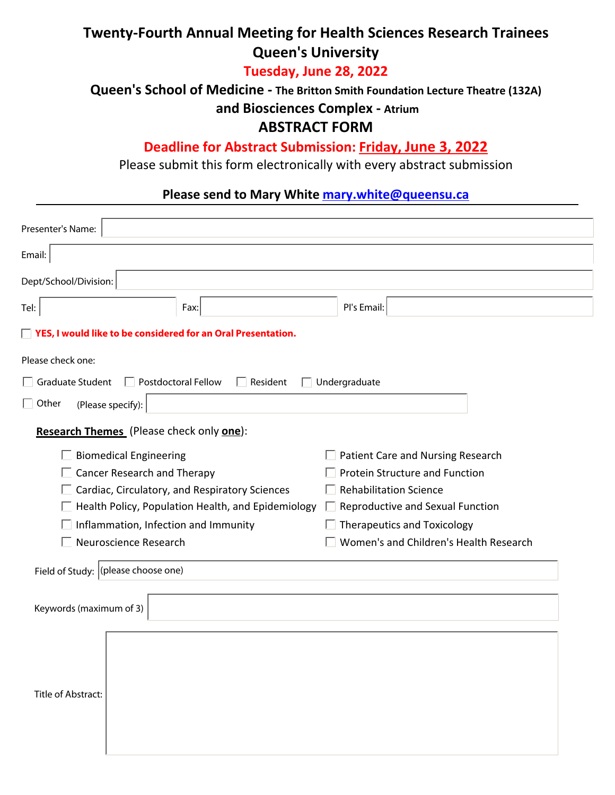# **Twenty-Fourth Annual Meeting for Health Sciences Research Trainees Queen's University**

### **Tuesday, June 28, 2022**

**Queen's School of Medicine - The Britton Smith Foundation Lecture Theatre (132A)**

 **and Biosciences Complex - Atrium**

### **ABSTRACT FORM**

### **Deadline for Abstract Submission: Friday, June 3, 2022**

Please submit this form electronically with every abstract submission

# **Please send to Mary White [mary.white@queensu.ca](mailto:mary.white@queensu.ca)**

| Presenter's Name:                                  |                                                                |                                        |  |  |
|----------------------------------------------------|----------------------------------------------------------------|----------------------------------------|--|--|
| Email:                                             |                                                                |                                        |  |  |
| Dept/School/Division:                              |                                                                |                                        |  |  |
| Tel:                                               | Fax:                                                           | Pl's Email:                            |  |  |
|                                                    | □ YES, I would like to be considered for an Oral Presentation. |                                        |  |  |
| Please check one:                                  |                                                                |                                        |  |  |
| $\Box$ Graduate Student                            | <b>Postdoctoral Fellow</b><br>Resident                         | Undergraduate                          |  |  |
| $\Box$ Other<br>(Please specify):                  |                                                                |                                        |  |  |
| Research Themes (Please check only one):           |                                                                |                                        |  |  |
| <b>Biomedical Engineering</b>                      |                                                                | Patient Care and Nursing Research      |  |  |
|                                                    | <b>Cancer Research and Therapy</b>                             | <b>Protein Structure and Function</b>  |  |  |
|                                                    | $\Box$ Cardiac, Circulatory, and Respiratory Sciences          | <b>Rehabilitation Science</b>          |  |  |
| Health Policy, Population Health, and Epidemiology | $\Box$ Reproductive and Sexual Function                        |                                        |  |  |
|                                                    | Inflammation, Infection and Immunity                           | $\Box$ Therapeutics and Toxicology     |  |  |
| Neuroscience Research                              |                                                                | Women's and Children's Health Research |  |  |
| Field of Study: (please choose one)                |                                                                |                                        |  |  |
| Keywords (maximum of 3)                            |                                                                |                                        |  |  |
|                                                    |                                                                |                                        |  |  |
|                                                    |                                                                |                                        |  |  |
| Title of Abstract:                                 |                                                                |                                        |  |  |
|                                                    |                                                                |                                        |  |  |
|                                                    |                                                                |                                        |  |  |